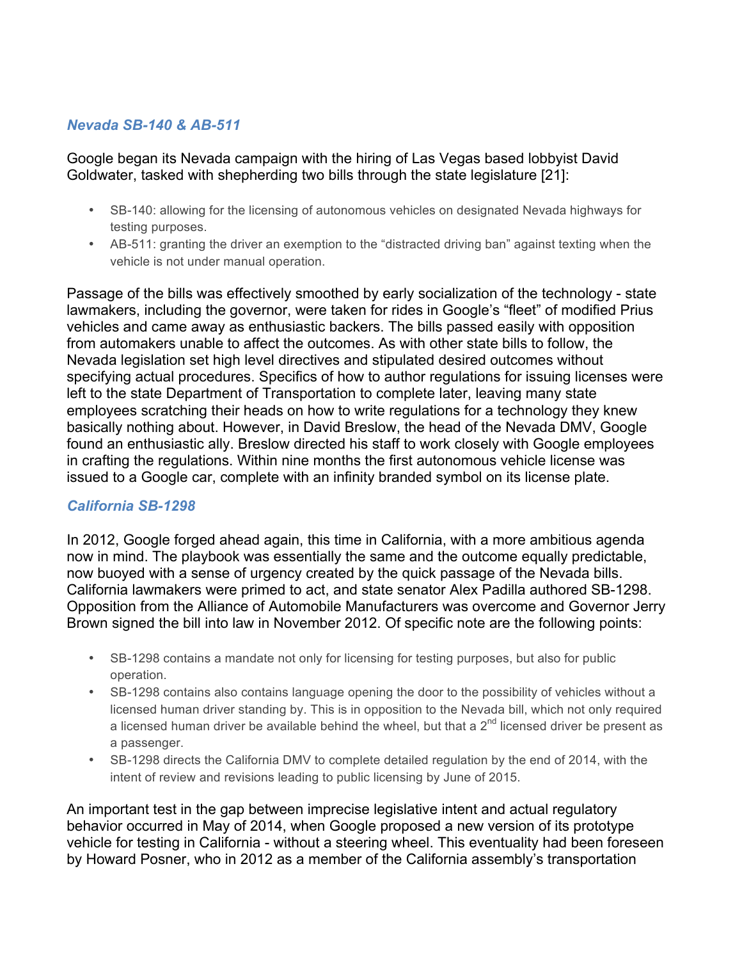## *Nevada SB-140 & AB-511*

Google began its Nevada campaign with the hiring of Las Vegas based lobbyist David Goldwater, tasked with shepherding two bills through the state legislature [21]:

- SB-140: allowing for the licensing of autonomous vehicles on designated Nevada highways for testing purposes.
- AB-511: granting the driver an exemption to the "distracted driving ban" against texting when the vehicle is not under manual operation.

Passage of the bills was effectively smoothed by early socialization of the technology - state lawmakers, including the governor, were taken for rides in Google's "fleet" of modified Prius vehicles and came away as enthusiastic backers. The bills passed easily with opposition from automakers unable to affect the outcomes. As with other state bills to follow, the Nevada legislation set high level directives and stipulated desired outcomes without specifying actual procedures. Specifics of how to author regulations for issuing licenses were left to the state Department of Transportation to complete later, leaving many state employees scratching their heads on how to write regulations for a technology they knew basically nothing about. However, in David Breslow, the head of the Nevada DMV, Google found an enthusiastic ally. Breslow directed his staff to work closely with Google employees in crafting the regulations. Within nine months the first autonomous vehicle license was issued to a Google car, complete with an infinity branded symbol on its license plate.

#### *California SB-1298*

In 2012, Google forged ahead again, this time in California, with a more ambitious agenda now in mind. The playbook was essentially the same and the outcome equally predictable, now buoyed with a sense of urgency created by the quick passage of the Nevada bills. California lawmakers were primed to act, and state senator Alex Padilla authored SB-1298. Opposition from the Alliance of Automobile Manufacturers was overcome and Governor Jerry Brown signed the bill into law in November 2012. Of specific note are the following points:

- SB-1298 contains a mandate not only for licensing for testing purposes, but also for public operation.
- SB-1298 contains also contains language opening the door to the possibility of vehicles without a licensed human driver standing by. This is in opposition to the Nevada bill, which not only required a licensed human driver be available behind the wheel, but that a  $2<sup>nd</sup>$  licensed driver be present as a passenger.
- SB-1298 directs the California DMV to complete detailed regulation by the end of 2014, with the intent of review and revisions leading to public licensing by June of 2015.

An important test in the gap between imprecise legislative intent and actual regulatory behavior occurred in May of 2014, when Google proposed a new version of its prototype vehicle for testing in California - without a steering wheel. This eventuality had been foreseen by Howard Posner, who in 2012 as a member of the California assembly's transportation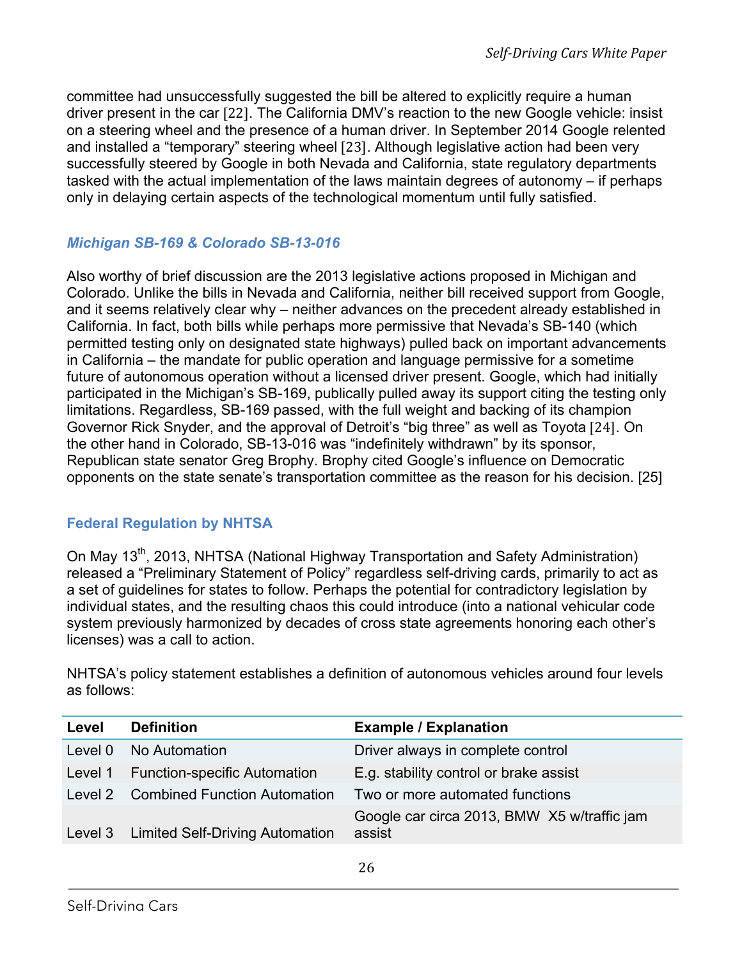committee had unsuccessfully suggested the bill be altered to explicitly require a human driver present in the car [22]. The California DMV's reaction to the new Google vehicle: insist on a steering wheel and the presence of a human driver. In September 2014 Google relented and installed a "temporary" steering wheel [23]. Although legislative action had been very successfully steered by Google in both Nevada and California, state regulatory departments tasked with the actual implementation of the laws maintain degrees of autonomy – if perhaps only in delaying certain aspects of the technological momentum until fully satisfied.

## *Michigan SB-169 & Colorado SB-13-016*

Also worthy of brief discussion are the 2013 legislative actions proposed in Michigan and Colorado. Unlike the bills in Nevada and California, neither bill received support from Google, and it seems relatively clear why – neither advances on the precedent already established in California. In fact, both bills while perhaps more permissive that Nevada's SB-140 (which permitted testing only on designated state highways) pulled back on important advancements in California – the mandate for public operation and language permissive for a sometime future of autonomous operation without a licensed driver present. Google, which had initially participated in the Michigan's SB-169, publically pulled away its support citing the testing only limitations. Regardless, SB-169 passed, with the full weight and backing of its champion Governor Rick Snyder, and the approval of Detroit's "big three" as well as Toyota [24]. On the other hand in Colorado, SB-13-016 was "indefinitely withdrawn" by its sponsor, Republican state senator Greg Brophy. Brophy cited Google's influence on Democratic opponents on the state senate's transportation committee as the reason for his decision. [25]

## **Federal Regulation by NHTSA**

On May 13<sup>th</sup>, 2013, NHTSA (National Highway Transportation and Safety Administration) released a "Preliminary Statement of Policy" regardless self-driving cards, primarily to act as a set of guidelines for states to follow. Perhaps the potential for contradictory legislation by individual states, and the resulting chaos this could introduce (into a national vehicular code system previously harmonized by decades of cross state agreements honoring each other's licenses) was a call to action.

NHTSA's policy statement establishes a definition of autonomous vehicles around four levels as follows:

| Level | <b>Definition</b>                       | <b>Example / Explanation</b>                          |
|-------|-----------------------------------------|-------------------------------------------------------|
|       | Level 0 No Automation                   | Driver always in complete control                     |
|       | Level 1 Function-specific Automation    | E.g. stability control or brake assist                |
|       | Level 2 Combined Function Automation    | Two or more automated functions                       |
|       | Level 3 Limited Self-Driving Automation | Google car circa 2013, BMW X5 w/traffic jam<br>assist |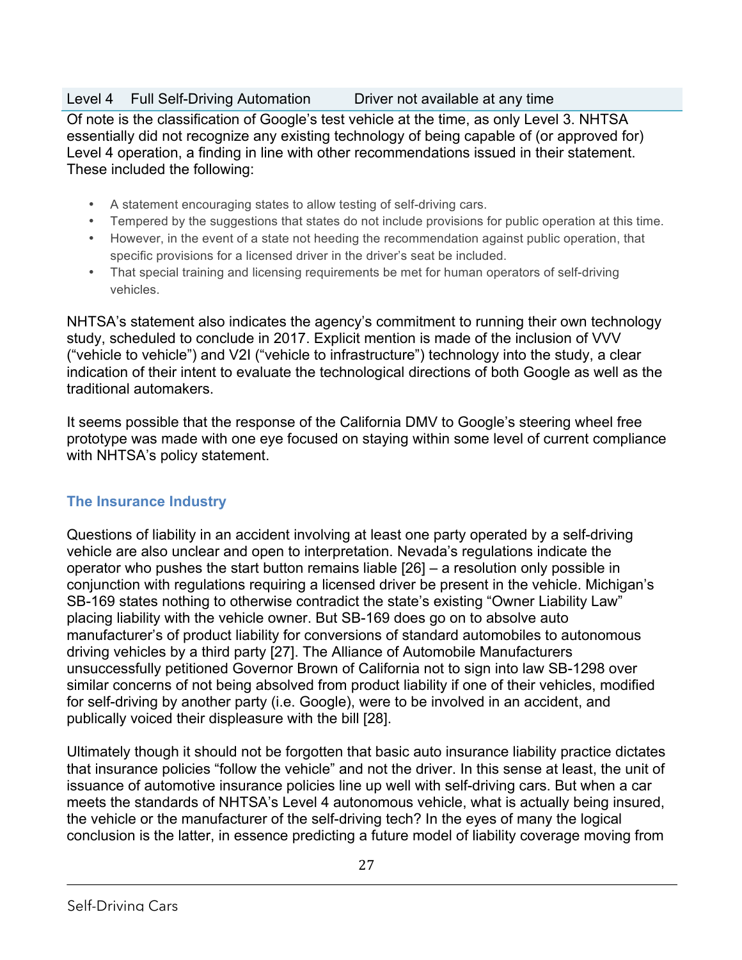## Level 4 Full Self-Driving Automation Driver not available at any time

Of note is the classification of Google's test vehicle at the time, as only Level 3. NHTSA essentially did not recognize any existing technology of being capable of (or approved for) Level 4 operation, a finding in line with other recommendations issued in their statement. These included the following:

- A statement encouraging states to allow testing of self-driving cars.
- Tempered by the suggestions that states do not include provisions for public operation at this time.
- However, in the event of a state not heeding the recommendation against public operation, that specific provisions for a licensed driver in the driver's seat be included.
- That special training and licensing requirements be met for human operators of self-driving vehicles.

NHTSA's statement also indicates the agency's commitment to running their own technology study, scheduled to conclude in 2017. Explicit mention is made of the inclusion of VVV ("vehicle to vehicle") and V2I ("vehicle to infrastructure") technology into the study, a clear indication of their intent to evaluate the technological directions of both Google as well as the traditional automakers.

It seems possible that the response of the California DMV to Google's steering wheel free prototype was made with one eye focused on staying within some level of current compliance with NHTSA's policy statement.

## **The Insurance Industry**

Questions of liability in an accident involving at least one party operated by a self-driving vehicle are also unclear and open to interpretation. Nevada's regulations indicate the operator who pushes the start button remains liable [26] – a resolution only possible in conjunction with regulations requiring a licensed driver be present in the vehicle. Michigan's SB-169 states nothing to otherwise contradict the state's existing "Owner Liability Law" placing liability with the vehicle owner. But SB-169 does go on to absolve auto manufacturer's of product liability for conversions of standard automobiles to autonomous driving vehicles by a third party [27]. The Alliance of Automobile Manufacturers unsuccessfully petitioned Governor Brown of California not to sign into law SB-1298 over similar concerns of not being absolved from product liability if one of their vehicles, modified for self-driving by another party (i.e. Google), were to be involved in an accident, and publically voiced their displeasure with the bill [28].

Ultimately though it should not be forgotten that basic auto insurance liability practice dictates that insurance policies "follow the vehicle" and not the driver. In this sense at least, the unit of issuance of automotive insurance policies line up well with self-driving cars. But when a car meets the standards of NHTSA's Level 4 autonomous vehicle, what is actually being insured, the vehicle or the manufacturer of the self-driving tech? In the eyes of many the logical conclusion is the latter, in essence predicting a future model of liability coverage moving from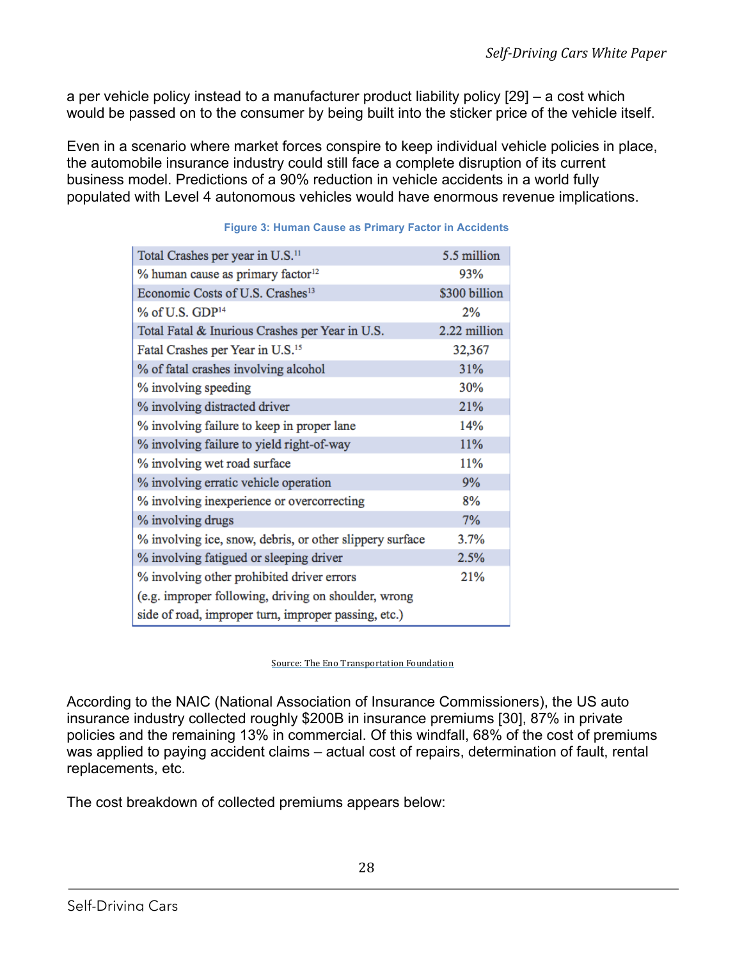a per vehicle policy instead to a manufacturer product liability policy [29] – a cost which would be passed on to the consumer by being built into the sticker price of the vehicle itself.

Even in a scenario where market forces conspire to keep individual vehicle policies in place, the automobile insurance industry could still face a complete disruption of its current business model. Predictions of a 90% reduction in vehicle accidents in a world fully populated with Level 4 autonomous vehicles would have enormous revenue implications.

| Total Crashes per year in U.S. <sup>11</sup>             | 5.5 million   |  |  |
|----------------------------------------------------------|---------------|--|--|
| % human cause as primary factor <sup>12</sup>            | 93%           |  |  |
| Economic Costs of U.S. Crashes <sup>13</sup>             | \$300 billion |  |  |
| % of U.S. GDP <sup>14</sup>                              | 2%            |  |  |
| Total Fatal & Inurious Crashes per Year in U.S.          | 2.22 million  |  |  |
| Fatal Crashes per Year in U.S. <sup>15</sup>             | 32,367        |  |  |
| % of fatal crashes involving alcohol                     | 31%           |  |  |
| % involving speeding                                     | 30%           |  |  |
| % involving distracted driver                            | 21%           |  |  |
| % involving failure to keep in proper lane               | 14%           |  |  |
| % involving failure to yield right-of-way                | <b>11%</b>    |  |  |
| % involving wet road surface                             | 11%           |  |  |
| % involving erratic vehicle operation                    | 9%            |  |  |
| % involving inexperience or overcorrecting               | 8%            |  |  |
| % involving drugs                                        | 7%            |  |  |
| % involving ice, snow, debris, or other slippery surface | 3.7%          |  |  |
| % involving fatigued or sleeping driver                  | 2.5%          |  |  |
| % involving other prohibited driver errors               | 21%           |  |  |
| (e.g. improper following, driving on shoulder, wrong     |               |  |  |
| side of road, improper turn, improper passing, etc.)     |               |  |  |

#### **Figure 3: Human Cause as Primary Factor in Accidents**

Source: The Eno Transportation Foundation

According to the NAIC (National Association of Insurance Commissioners), the US auto insurance industry collected roughly \$200B in insurance premiums [30], 87% in private policies and the remaining 13% in commercial. Of this windfall, 68% of the cost of premiums was applied to paying accident claims – actual cost of repairs, determination of fault, rental replacements, etc.

The cost breakdown of collected premiums appears below: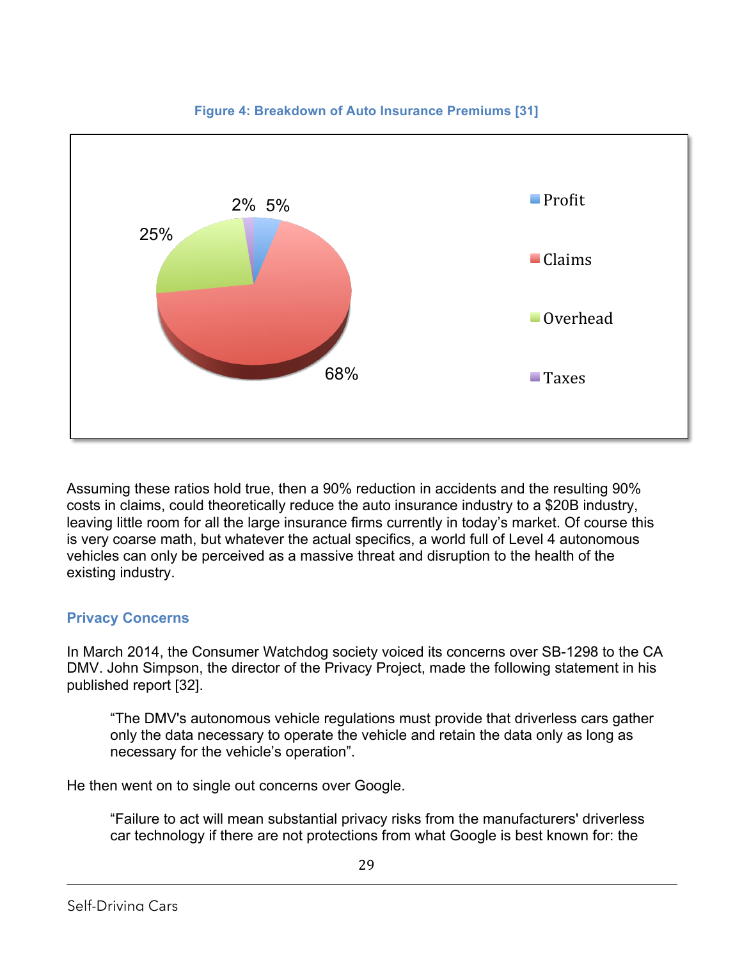

#### **Figure 4: Breakdown of Auto Insurance Premiums [31]**

Assuming these ratios hold true, then a 90% reduction in accidents and the resulting 90% costs in claims, could theoretically reduce the auto insurance industry to a \$20B industry, leaving little room for all the large insurance firms currently in today's market. Of course this is very coarse math, but whatever the actual specifics, a world full of Level 4 autonomous vehicles can only be perceived as a massive threat and disruption to the health of the existing industry.

## **Privacy Concerns**

In March 2014, the Consumer Watchdog society voiced its concerns over SB-1298 to the CA DMV. John Simpson, the director of the Privacy Project, made the following statement in his published report [32].

"The DMV's autonomous vehicle regulations must provide that driverless cars gather only the data necessary to operate the vehicle and retain the data only as long as necessary for the vehicle's operation".

He then went on to single out concerns over Google.

"Failure to act will mean substantial privacy risks from the manufacturers' driverless car technology if there are not protections from what Google is best known for: the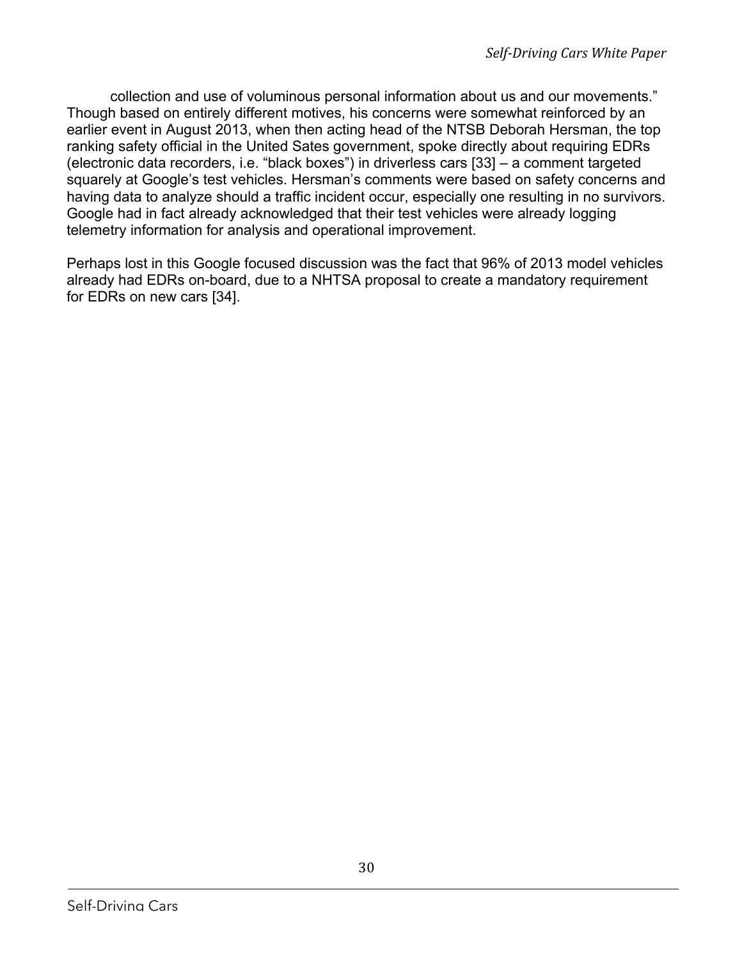collection and use of voluminous personal information about us and our movements." Though based on entirely different motives, his concerns were somewhat reinforced by an earlier event in August 2013, when then acting head of the NTSB Deborah Hersman, the top ranking safety official in the United Sates government, spoke directly about requiring EDRs (electronic data recorders, i.e. "black boxes") in driverless cars [33] – a comment targeted squarely at Google's test vehicles. Hersman's comments were based on safety concerns and having data to analyze should a traffic incident occur, especially one resulting in no survivors. Google had in fact already acknowledged that their test vehicles were already logging telemetry information for analysis and operational improvement.

Perhaps lost in this Google focused discussion was the fact that 96% of 2013 model vehicles already had EDRs on-board, due to a NHTSA proposal to create a mandatory requirement for EDRs on new cars [34].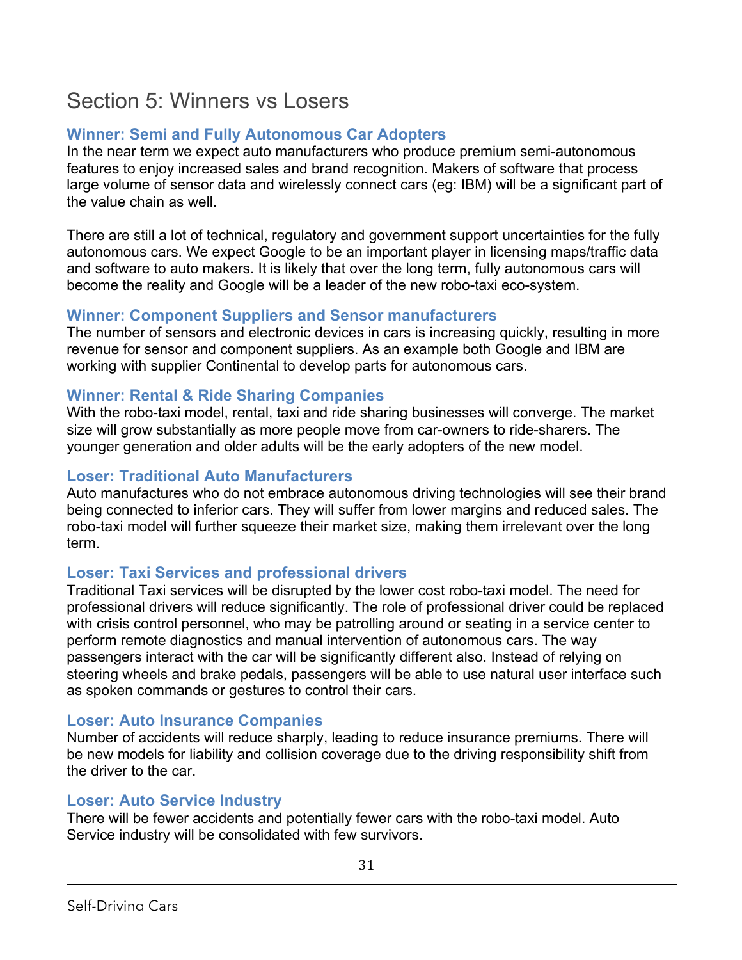# Section 5: Winners vs Losers

## **Winner: Semi and Fully Autonomous Car Adopters**

In the near term we expect auto manufacturers who produce premium semi-autonomous features to enjoy increased sales and brand recognition. Makers of software that process large volume of sensor data and wirelessly connect cars (eg: IBM) will be a significant part of the value chain as well.

There are still a lot of technical, regulatory and government support uncertainties for the fully autonomous cars. We expect Google to be an important player in licensing maps/traffic data and software to auto makers. It is likely that over the long term, fully autonomous cars will become the reality and Google will be a leader of the new robo-taxi eco-system.

## **Winner: Component Suppliers and Sensor manufacturers**

The number of sensors and electronic devices in cars is increasing quickly, resulting in more revenue for sensor and component suppliers. As an example both Google and IBM are working with supplier Continental to develop parts for autonomous cars.

## **Winner: Rental & Ride Sharing Companies**

With the robo-taxi model, rental, taxi and ride sharing businesses will converge. The market size will grow substantially as more people move from car-owners to ride-sharers. The younger generation and older adults will be the early adopters of the new model.

## **Loser: Traditional Auto Manufacturers**

Auto manufactures who do not embrace autonomous driving technologies will see their brand being connected to inferior cars. They will suffer from lower margins and reduced sales. The robo-taxi model will further squeeze their market size, making them irrelevant over the long term.

## **Loser: Taxi Services and professional drivers**

Traditional Taxi services will be disrupted by the lower cost robo-taxi model. The need for professional drivers will reduce significantly. The role of professional driver could be replaced with crisis control personnel, who may be patrolling around or seating in a service center to perform remote diagnostics and manual intervention of autonomous cars. The way passengers interact with the car will be significantly different also. Instead of relying on steering wheels and brake pedals, passengers will be able to use natural user interface such as spoken commands or gestures to control their cars.

## **Loser: Auto Insurance Companies**

Number of accidents will reduce sharply, leading to reduce insurance premiums. There will be new models for liability and collision coverage due to the driving responsibility shift from the driver to the car.

## **Loser: Auto Service Industry**

There will be fewer accidents and potentially fewer cars with the robo-taxi model. Auto Service industry will be consolidated with few survivors.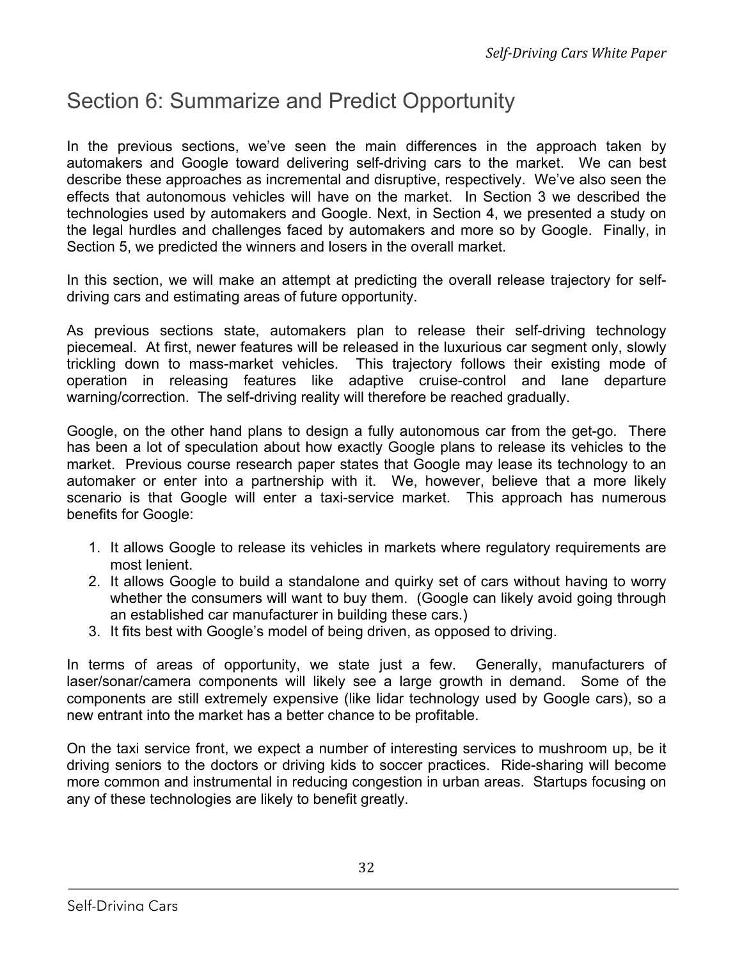# Section 6: Summarize and Predict Opportunity

In the previous sections, we've seen the main differences in the approach taken by automakers and Google toward delivering self-driving cars to the market. We can best describe these approaches as incremental and disruptive, respectively. We've also seen the effects that autonomous vehicles will have on the market. In Section 3 we described the technologies used by automakers and Google. Next, in Section 4, we presented a study on the legal hurdles and challenges faced by automakers and more so by Google. Finally, in Section 5, we predicted the winners and losers in the overall market.

In this section, we will make an attempt at predicting the overall release trajectory for selfdriving cars and estimating areas of future opportunity.

As previous sections state, automakers plan to release their self-driving technology piecemeal. At first, newer features will be released in the luxurious car segment only, slowly trickling down to mass-market vehicles. This trajectory follows their existing mode of operation in releasing features like adaptive cruise-control and lane departure warning/correction. The self-driving reality will therefore be reached gradually.

Google, on the other hand plans to design a fully autonomous car from the get-go. There has been a lot of speculation about how exactly Google plans to release its vehicles to the market. Previous course research paper states that Google may lease its technology to an automaker or enter into a partnership with it. We, however, believe that a more likely scenario is that Google will enter a taxi-service market. This approach has numerous benefits for Google:

- 1. It allows Google to release its vehicles in markets where regulatory requirements are most lenient.
- 2. It allows Google to build a standalone and quirky set of cars without having to worry whether the consumers will want to buy them. (Google can likely avoid going through an established car manufacturer in building these cars.)
- 3. It fits best with Google's model of being driven, as opposed to driving.

In terms of areas of opportunity, we state just a few. Generally, manufacturers of laser/sonar/camera components will likely see a large growth in demand. Some of the components are still extremely expensive (like lidar technology used by Google cars), so a new entrant into the market has a better chance to be profitable.

On the taxi service front, we expect a number of interesting services to mushroom up, be it driving seniors to the doctors or driving kids to soccer practices. Ride-sharing will become more common and instrumental in reducing congestion in urban areas. Startups focusing on any of these technologies are likely to benefit greatly.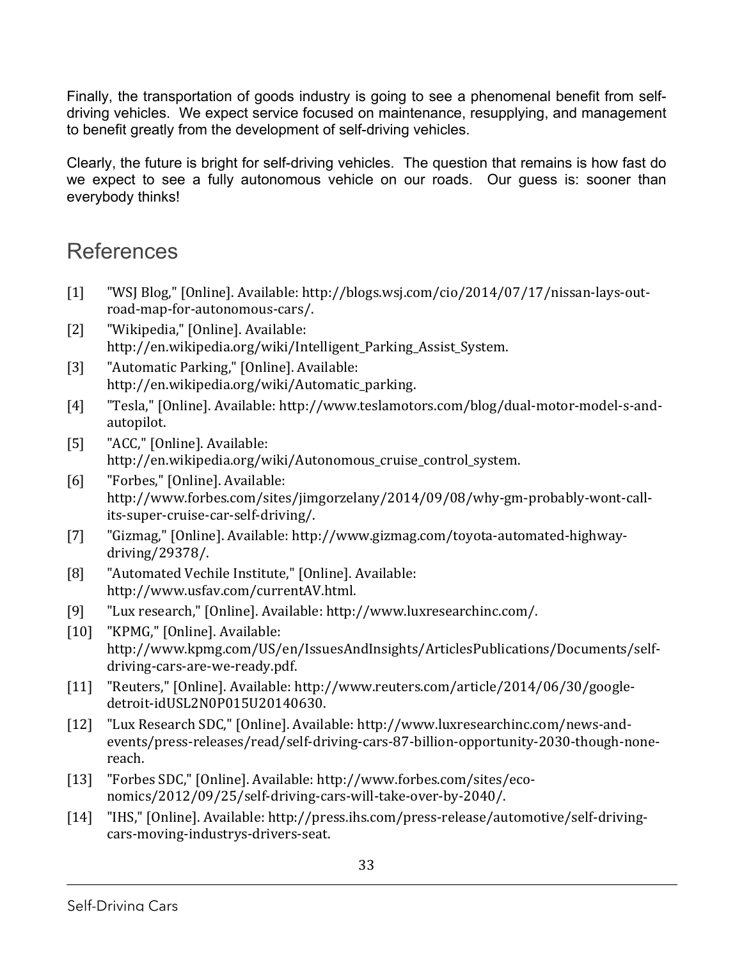Finally, the transportation of goods industry is going to see a phenomenal benefit from selfdriving vehicles. We expect service focused on maintenance, resupplying, and management to benefit greatly from the development of self-driving vehicles.

Clearly, the future is bright for self-driving vehicles. The question that remains is how fast do we expect to see a fully autonomous vehicle on our roads. Our guess is: sooner than everybody thinks!

## References

- [1] "WSJ Blog," [Online]. Available: http://blogs.wsj.com/cio/2014/07/17/nissan-lays-outroad-map-for-autonomous-cars/.
- [2] "Wikipedia," [Online]. Available: http://en.wikipedia.org/wiki/Intelligent\_Parking\_Assist\_System.
- [3] "Automatic Parking," [Online]. Available: http://en.wikipedia.org/wiki/Automatic\_parking.
- [4] "Tesla," [Online]. Available: http://www.teslamotors.com/blog/dual-motor-model-s-andautopilot.
- [5] "ACC," [Online]. Available: http://en.wikipedia.org/wiki/Autonomous\_cruise\_control\_system.
- [6] "Forbes," [Online]. Available: http://www.forbes.com/sites/jimgorzelany/2014/09/08/why-gm-probably-wont-callits-super-cruise-car-self-driving/.
- [7] "Gizmag," [Online]. Available: http://www.gizmag.com/toyota-automated-highwaydriving/29378/.
- [8] "Automated Vechile Institute," [Online]. Available: http://www.usfav.com/currentAV.html.
- [9] "Lux research," [Online]. Available: http://www.luxresearchinc.com/.
- [10] "KPMG," [Online]. Available: http://www.kpmg.com/US/en/IssuesAndInsights/ArticlesPublications/Documents/selfdriving-cars-are-we-ready.pdf.
- [11] "Reuters," [Online]. Available: http://www.reuters.com/article/2014/06/30/googledetroit-idUSL2N0P015U20140630.
- [12] "Lux Research SDC," [Online]. Available: http://www.luxresearchinc.com/news-andevents/press-releases/read/self-driving-cars-87-billion-opportunity-2030-though-nonereach.
- [13] "Forbes SDC," [Online]. Available: http://www.forbes.com/sites/economics/2012/09/25/self-driving-cars-will-take-over-by-2040/.
- [14] "IHS," [Online]. Available: http://press.ihs.com/press-release/automotive/self-drivingcars-moving-industrys-drivers-seat.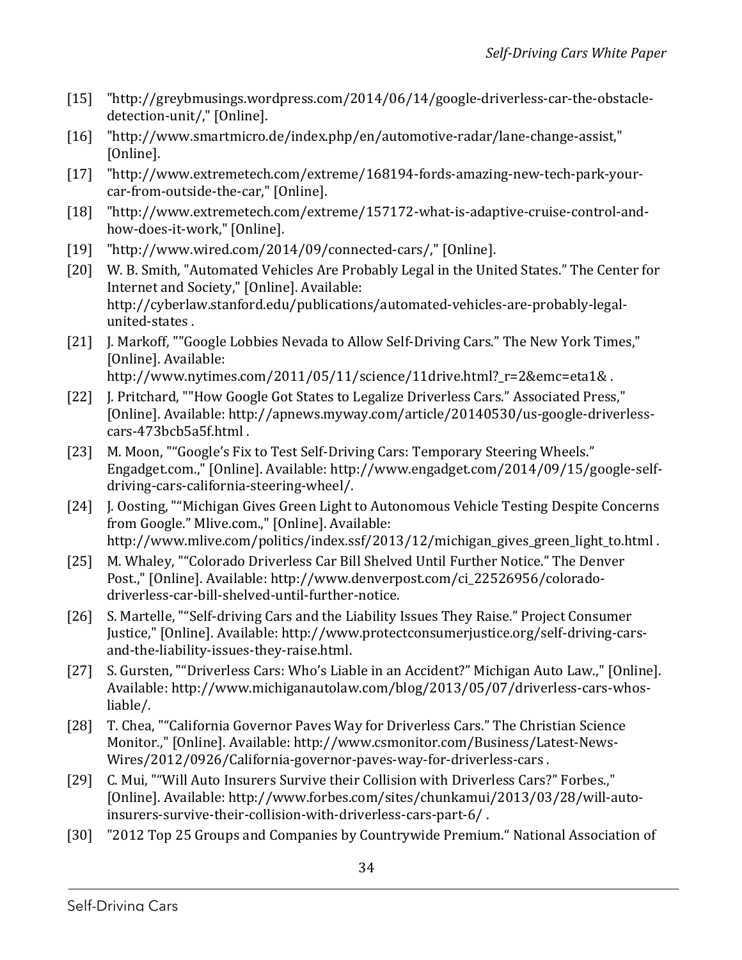- [15] "http://greybmusings.wordpress.com/2014/06/14/google-driverless-car-the-obstacledetection-unit/," [Online].
- [16] "http://www.smartmicro.de/index.php/en/automotive-radar/lane-change-assist," [Online].
- [17] "http://www.extremetech.com/extreme/168194-fords-amazing-new-tech-park-yourcar-from-outside-the-car," [Online].
- [18] "http://www.extremetech.com/extreme/157172-what-is-adaptive-cruise-control-andhow-does-it-work," [Online].
- [19] "http://www.wired.com/2014/09/connected-cars/," [Online].
- [20] W. B. Smith, "Automated Vehicles Are Probably Legal in the United States." The Center for Internet and Society," [Online]. Available: http://cyberlaw.stanford.edu/publications/automated-vehicles-are-probably-legalunited-states.
- [21] J. Markoff, ""Google Lobbies Nevada to Allow Self-Driving Cars." The New York Times," [Online]. Available: http://www.nytimes.com/2011/05/11/science/11drive.html?\_r=2&emc=eta1&.
- [22] J. Pritchard, ""How Google Got States to Legalize Driverless Cars." Associated Press," [Online]. Available: http://apnews.myway.com/article/20140530/us-google-driverlesscars-473bcb5a5f.html.
- [23] M. Moon, ""Google's Fix to Test Self-Driving Cars: Temporary Steering Wheels." Engadget.com.," [Online]. Available: http://www.engadget.com/2014/09/15/google-selfdriving-cars-california-steering-wheel/.
- [24] J. Oosting, ""Michigan Gives Green Light to Autonomous Vehicle Testing Despite Concerns from Google." Mlive.com.," [Online]. Available: http://www.mlive.com/politics/index.ssf/2013/12/michigan\_gives\_green\_light\_to.html.
- [25] M. Whaley, ""Colorado Driverless Car Bill Shelved Until Further Notice." The Denver Post.," [Online]. Available: http://www.denverpost.com/ci\_22526956/coloradodriverless-car-bill-shelved-until-further-notice.
- [26] S. Martelle, ""Self-driving Cars and the Liability Issues They Raise." Project Consumer Justice," [Online]. Available: http://www.protectconsumerjustice.org/self-driving-carsand-the-liability-issues-they-raise.html.
- [27] S. Gursten, ""Driverless Cars: Who's Liable in an Accident?" Michigan Auto Law.," [Online]. Available: http://www.michiganautolaw.com/blog/2013/05/07/driverless-cars-whosliable/.
- [28] T. Chea, ""California Governor Paves Way for Driverless Cars." The Christian Science Monitor.," [Online]. Available: http://www.csmonitor.com/Business/Latest-News-Wires/2012/0926/California-governor-paves-way-for-driverless-cars.
- [29] C. Mui, ""Will Auto Insurers Survive their Collision with Driverless Cars?" Forbes.," [Online]. Available: http://www.forbes.com/sites/chunkamui/2013/03/28/will-autoinsurers-survive-their-collision-with-driverless-cars-part-6/ .
- [30] "2012 Top 25 Groups and Companies by Countrywide Premium." National Association of